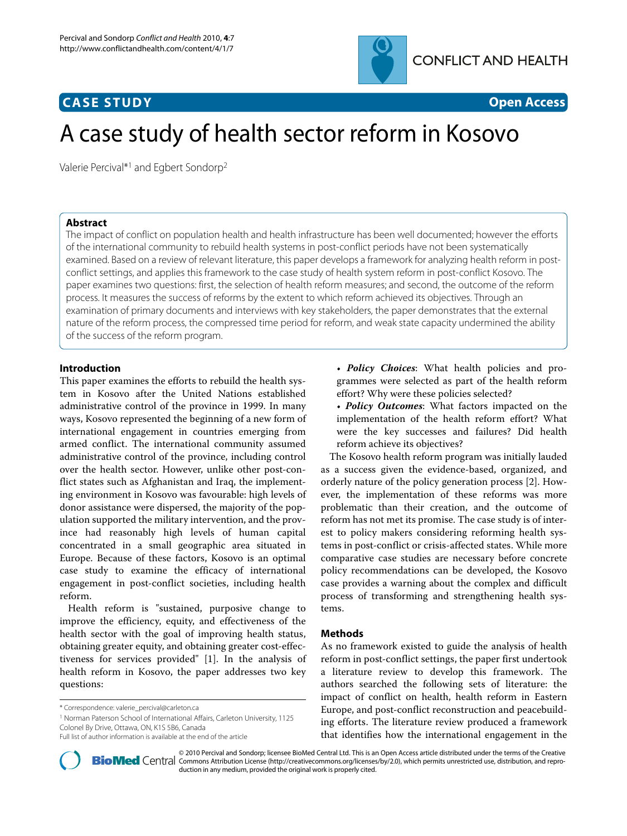

**CONFLICT AND HEALTH** 

# A case study of health sector reform in Kosovo

Valerie Percival\*1 and Egbert Sondorp2

# **Abstract**

The impact of conflict on population health and health infrastructure has been well documented; however the efforts of the international community to rebuild health systems in post-conflict periods have not been systematically examined. Based on a review of relevant literature, this paper develops a framework for analyzing health reform in postconflict settings, and applies this framework to the case study of health system reform in post-conflict Kosovo. The paper examines two questions: first, the selection of health reform measures; and second, the outcome of the reform process. It measures the success of reforms by the extent to which reform achieved its objectives. Through an examination of primary documents and interviews with key stakeholders, the paper demonstrates that the external nature of the reform process, the compressed time period for reform, and weak state capacity undermined the ability of the success of the reform program.

# **Introduction**

This paper examines the efforts to rebuild the health system in Kosovo after the United Nations established administrative control of the province in 1999. In many ways, Kosovo represented the beginning of a new form of international engagement in countries emerging from armed conflict. The international community assumed administrative control of the province, including control over the health sector. However, unlike other post-conflict states such as Afghanistan and Iraq, the implementing environment in Kosovo was favourable: high levels of donor assistance were dispersed, the majority of the population supported the military intervention, and the province had reasonably high levels of human capital concentrated in a small geographic area situated in Europe. Because of these factors, Kosovo is an optimal case study to examine the efficacy of international engagement in post-conflict societies, including health reform.

Health reform is "sustained, purposive change to improve the efficiency, equity, and effectiveness of the health sector with the goal of improving health status, obtaining greater equity, and obtaining greater cost-effectiveness for services provided" [\[1](#page-12-0)]. In the analysis of health reform in Kosovo, the paper addresses two key questions:

1 Norman Paterson School of International Affairs, Carleton University, 1125 Colonel By Drive, Ottawa, ON, K1S 5B6, Canada

• *Policy Choices*: What health policies and programmes were selected as part of the health reform effort? Why were these policies selected?

• *Policy Outcomes*: What factors impacted on the implementation of the health reform effort? What were the key successes and failures? Did health reform achieve its objectives?

The Kosovo health reform program was initially lauded as a success given the evidence-based, organized, and orderly nature of the policy generation process [\[2](#page-12-1)]. However, the implementation of these reforms was more problematic than their creation, and the outcome of reform has not met its promise. The case study is of interest to policy makers considering reforming health systems in post-conflict or crisis-affected states. While more comparative case studies are necessary before concrete policy recommendations can be developed, the Kosovo case provides a warning about the complex and difficult process of transforming and strengthening health systems.

# **Methods**

As no framework existed to guide the analysis of health reform in post-conflict settings, the paper first undertook a literature review to develop this framework. The authors searched the following sets of literature: the impact of conflict on health, health reform in Eastern Europe, and post-conflict reconstruction and peacebuilding efforts. The literature review produced a framework that identifies how the international engagement in the



© 2010 Percival and Sondorp; licensee [BioMed](http://www.biomedcentral.com/) Central Ltd. This is an Open Access article distributed under the terms of the Creative<br>**Bio Med** Central Commons Attribution License (http://creativecommons.org/licenses/by/2.0 duction in any medium, provided the original work is properly cited.

<sup>\*</sup> Correspondence: valerie\_percival@carleton.ca

Full list of author information is available at the end of the article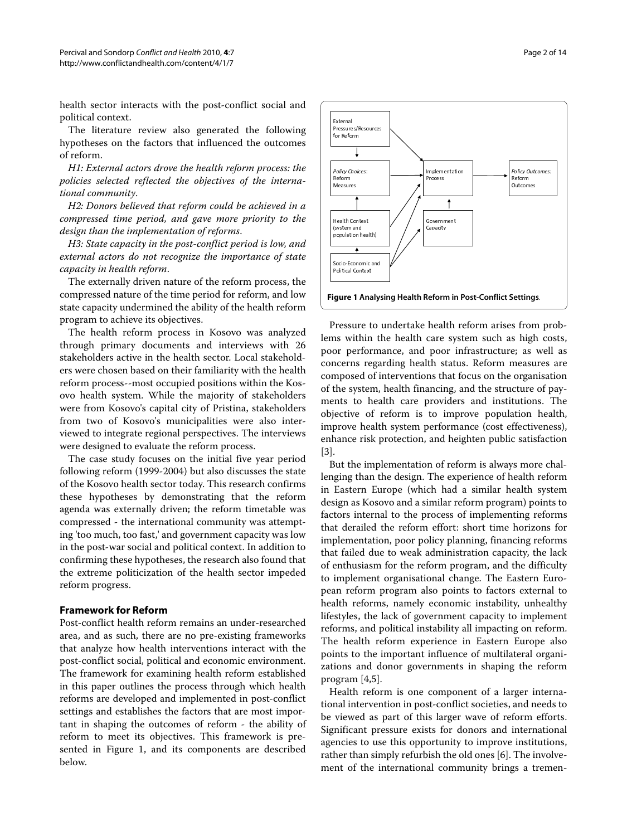health sector interacts with the post-conflict social and political context.

The literature review also generated the following hypotheses on the factors that influenced the outcomes of reform.

*H1: External actors drove the health reform process: the policies selected reflected the objectives of the international community*.

*H2: Donors believed that reform could be achieved in a compressed time period, and gave more priority to the design than the implementation of reforms*.

*H3: State capacity in the post-conflict period is low, and external actors do not recognize the importance of state capacity in health reform*.

The externally driven nature of the reform process, the compressed nature of the time period for reform, and low state capacity undermined the ability of the health reform program to achieve its objectives.

The health reform process in Kosovo was analyzed through primary documents and interviews with 26 stakeholders active in the health sector. Local stakeholders were chosen based on their familiarity with the health reform process--most occupied positions within the Kosovo health system. While the majority of stakeholders were from Kosovo's capital city of Pristina, stakeholders from two of Kosovo's municipalities were also interviewed to integrate regional perspectives. The interviews were designed to evaluate the reform process.

The case study focuses on the initial five year period following reform (1999-2004) but also discusses the state of the Kosovo health sector today. This research confirms these hypotheses by demonstrating that the reform agenda was externally driven; the reform timetable was compressed - the international community was attempting 'too much, too fast,' and government capacity was low in the post-war social and political context. In addition to confirming these hypotheses, the research also found that the extreme politicization of the health sector impeded reform progress.

# **Framework for Reform**

Post-conflict health reform remains an under-researched area, and as such, there are no pre-existing frameworks that analyze how health interventions interact with the post-conflict social, political and economic environment. The framework for examining health reform established in this paper outlines the process through which health reforms are developed and implemented in post-conflict settings and establishes the factors that are most important in shaping the outcomes of reform - the ability of reform to meet its objectives. This framework is presented in Figure [1,](#page-1-0) and its components are described below.



**Figure 1 Analysing Health Reform in Post-Conflict Settings**.

But the implementation of reform is always more challenging than the design. The experience of health reform in Eastern Europe (which had a similar health system design as Kosovo and a similar reform program) points to factors internal to the process of implementing reforms that derailed the reform effort: short time horizons for implementation, poor policy planning, financing reforms that failed due to weak administration capacity, the lack of enthusiasm for the reform program, and the difficulty to implement organisational change. The Eastern European reform program also points to factors external to health reforms, namely economic instability, unhealthy lifestyles, the lack of government capacity to implement reforms, and political instability all impacting on reform. The health reform experience in Eastern Europe also points to the important influence of multilateral organizations and donor governments in shaping the reform program [[4,](#page-12-3)[5\]](#page-12-4).

Health reform is one component of a larger international intervention in post-conflict societies, and needs to be viewed as part of this larger wave of reform efforts. Significant pressure exists for donors and international agencies to use this opportunity to improve institutions, rather than simply refurbish the old ones [\[6\]](#page-12-5). The involvement of the international community brings a tremen-

<span id="page-1-0"></span>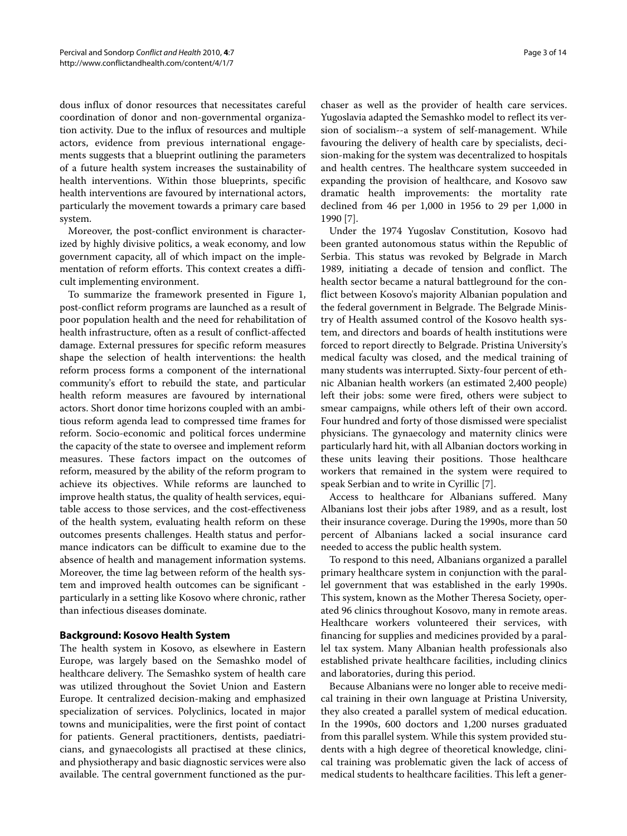dous influx of donor resources that necessitates careful coordination of donor and non-governmental organization activity. Due to the influx of resources and multiple actors, evidence from previous international engagements suggests that a blueprint outlining the parameters of a future health system increases the sustainability of health interventions. Within those blueprints, specific health interventions are favoured by international actors, particularly the movement towards a primary care based system.

Moreover, the post-conflict environment is characterized by highly divisive politics, a weak economy, and low government capacity, all of which impact on the implementation of reform efforts. This context creates a difficult implementing environment.

To summarize the framework presented in Figure [1](#page-1-0), post-conflict reform programs are launched as a result of poor population health and the need for rehabilitation of health infrastructure, often as a result of conflict-affected damage. External pressures for specific reform measures shape the selection of health interventions: the health reform process forms a component of the international community's effort to rebuild the state, and particular health reform measures are favoured by international actors. Short donor time horizons coupled with an ambitious reform agenda lead to compressed time frames for reform. Socio-economic and political forces undermine the capacity of the state to oversee and implement reform measures. These factors impact on the outcomes of reform, measured by the ability of the reform program to achieve its objectives. While reforms are launched to improve health status, the quality of health services, equitable access to those services, and the cost-effectiveness of the health system, evaluating health reform on these outcomes presents challenges. Health status and performance indicators can be difficult to examine due to the absence of health and management information systems. Moreover, the time lag between reform of the health system and improved health outcomes can be significant particularly in a setting like Kosovo where chronic, rather than infectious diseases dominate.

# **Background: Kosovo Health System**

The health system in Kosovo, as elsewhere in Eastern Europe, was largely based on the Semashko model of healthcare delivery. The Semashko system of health care was utilized throughout the Soviet Union and Eastern Europe. It centralized decision-making and emphasized specialization of services. Polyclinics, located in major towns and municipalities, were the first point of contact for patients. General practitioners, dentists, paediatricians, and gynaecologists all practised at these clinics, and physiotherapy and basic diagnostic services were also available. The central government functioned as the pur-

chaser as well as the provider of health care services. Yugoslavia adapted the Semashko model to reflect its version of socialism--a system of self-management. While favouring the delivery of health care by specialists, decision-making for the system was decentralized to hospitals and health centres. The healthcare system succeeded in expanding the provision of healthcare, and Kosovo saw dramatic health improvements: the mortality rate declined from 46 per 1,000 in 1956 to 29 per 1,000 in 1990 [[7\]](#page-12-6).

Under the 1974 Yugoslav Constitution, Kosovo had been granted autonomous status within the Republic of Serbia. This status was revoked by Belgrade in March 1989, initiating a decade of tension and conflict. The health sector became a natural battleground for the conflict between Kosovo's majority Albanian population and the federal government in Belgrade. The Belgrade Ministry of Health assumed control of the Kosovo health system, and directors and boards of health institutions were forced to report directly to Belgrade. Pristina University's medical faculty was closed, and the medical training of many students was interrupted. Sixty-four percent of ethnic Albanian health workers (an estimated 2,400 people) left their jobs: some were fired, others were subject to smear campaigns, while others left of their own accord. Four hundred and forty of those dismissed were specialist physicians. The gynaecology and maternity clinics were particularly hard hit, with all Albanian doctors working in these units leaving their positions. Those healthcare workers that remained in the system were required to speak Serbian and to write in Cyrillic [[7\]](#page-12-6).

Access to healthcare for Albanians suffered. Many Albanians lost their jobs after 1989, and as a result, lost their insurance coverage. During the 1990s, more than 50 percent of Albanians lacked a social insurance card needed to access the public health system.

To respond to this need, Albanians organized a parallel primary healthcare system in conjunction with the parallel government that was established in the early 1990s. This system, known as the Mother Theresa Society, operated 96 clinics throughout Kosovo, many in remote areas. Healthcare workers volunteered their services, with financing for supplies and medicines provided by a parallel tax system. Many Albanian health professionals also established private healthcare facilities, including clinics and laboratories, during this period.

Because Albanians were no longer able to receive medical training in their own language at Pristina University, they also created a parallel system of medical education. In the 1990s, 600 doctors and 1,200 nurses graduated from this parallel system. While this system provided students with a high degree of theoretical knowledge, clinical training was problematic given the lack of access of medical students to healthcare facilities. This left a gener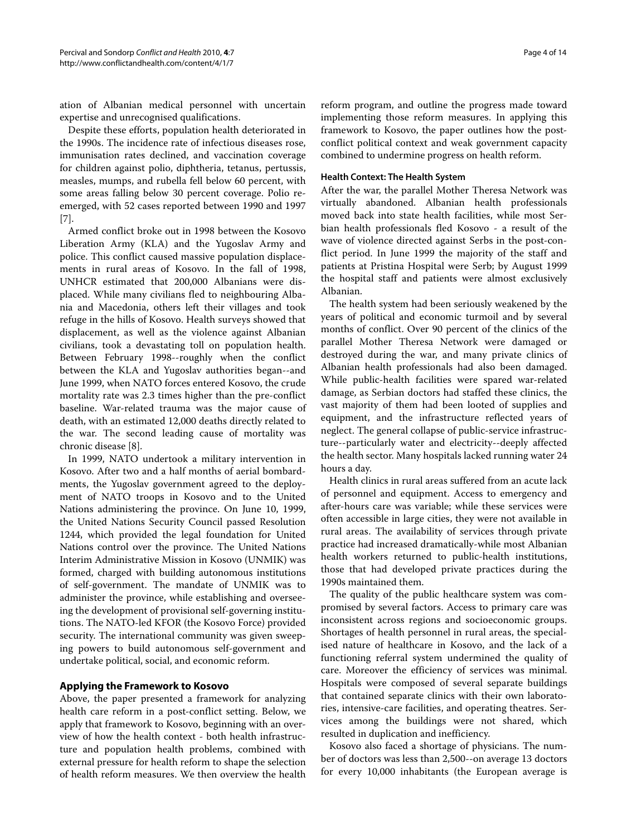ation of Albanian medical personnel with uncertain expertise and unrecognised qualifications.

Despite these efforts, population health deteriorated in the 1990s. The incidence rate of infectious diseases rose, immunisation rates declined, and vaccination coverage for children against polio, diphtheria, tetanus, pertussis, measles, mumps, and rubella fell below 60 percent, with some areas falling below 30 percent coverage. Polio reemerged, with 52 cases reported between 1990 and 1997 [[7\]](#page-12-6).

Armed conflict broke out in 1998 between the Kosovo Liberation Army (KLA) and the Yugoslav Army and police. This conflict caused massive population displacements in rural areas of Kosovo. In the fall of 1998, UNHCR estimated that 200,000 Albanians were displaced. While many civilians fled to neighbouring Albania and Macedonia, others left their villages and took refuge in the hills of Kosovo. Health surveys showed that displacement, as well as the violence against Albanian civilians, took a devastating toll on population health. Between February 1998--roughly when the conflict between the KLA and Yugoslav authorities began--and June 1999, when NATO forces entered Kosovo, the crude mortality rate was 2.3 times higher than the pre-conflict baseline. War-related trauma was the major cause of death, with an estimated 12,000 deaths directly related to the war. The second leading cause of mortality was chronic disease [[8\]](#page-12-7).

In 1999, NATO undertook a military intervention in Kosovo. After two and a half months of aerial bombardments, the Yugoslav government agreed to the deployment of NATO troops in Kosovo and to the United Nations administering the province. On June 10, 1999, the United Nations Security Council passed Resolution 1244, which provided the legal foundation for United Nations control over the province. The United Nations Interim Administrative Mission in Kosovo (UNMIK) was formed, charged with building autonomous institutions of self-government. The mandate of UNMIK was to administer the province, while establishing and overseeing the development of provisional self-governing institutions. The NATO-led KFOR (the Kosovo Force) provided security. The international community was given sweeping powers to build autonomous self-government and undertake political, social, and economic reform.

# **Applying the Framework to Kosovo**

Above, the paper presented a framework for analyzing health care reform in a post-conflict setting. Below, we apply that framework to Kosovo, beginning with an overview of how the health context - both health infrastructure and population health problems, combined with external pressure for health reform to shape the selection of health reform measures. We then overview the health

reform program, and outline the progress made toward implementing those reform measures. In applying this framework to Kosovo, the paper outlines how the postconflict political context and weak government capacity combined to undermine progress on health reform.

# **Health Context: The Health System**

After the war, the parallel Mother Theresa Network was virtually abandoned. Albanian health professionals moved back into state health facilities, while most Serbian health professionals fled Kosovo - a result of the wave of violence directed against Serbs in the post-conflict period. In June 1999 the majority of the staff and patients at Pristina Hospital were Serb; by August 1999 the hospital staff and patients were almost exclusively Albanian.

The health system had been seriously weakened by the years of political and economic turmoil and by several months of conflict. Over 90 percent of the clinics of the parallel Mother Theresa Network were damaged or destroyed during the war, and many private clinics of Albanian health professionals had also been damaged. While public-health facilities were spared war-related damage, as Serbian doctors had staffed these clinics, the vast majority of them had been looted of supplies and equipment, and the infrastructure reflected years of neglect. The general collapse of public-service infrastructure--particularly water and electricity--deeply affected the health sector. Many hospitals lacked running water 24 hours a day.

Health clinics in rural areas suffered from an acute lack of personnel and equipment. Access to emergency and after-hours care was variable; while these services were often accessible in large cities, they were not available in rural areas. The availability of services through private practice had increased dramatically-while most Albanian health workers returned to public-health institutions, those that had developed private practices during the 1990s maintained them.

The quality of the public healthcare system was compromised by several factors. Access to primary care was inconsistent across regions and socioeconomic groups. Shortages of health personnel in rural areas, the specialised nature of healthcare in Kosovo, and the lack of a functioning referral system undermined the quality of care. Moreover the efficiency of services was minimal. Hospitals were composed of several separate buildings that contained separate clinics with their own laboratories, intensive-care facilities, and operating theatres. Services among the buildings were not shared, which resulted in duplication and inefficiency.

Kosovo also faced a shortage of physicians. The number of doctors was less than 2,500--on average 13 doctors for every 10,000 inhabitants (the European average is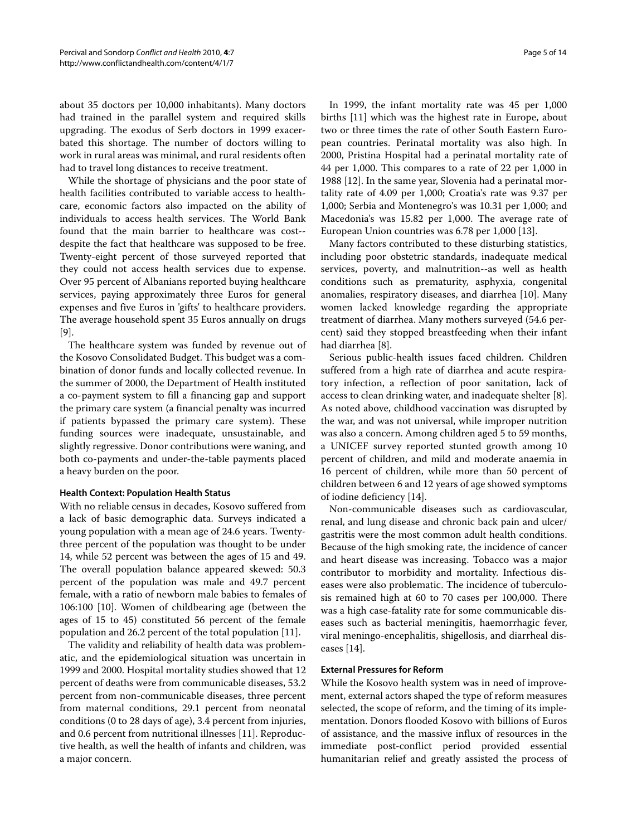about 35 doctors per 10,000 inhabitants). Many doctors had trained in the parallel system and required skills upgrading. The exodus of Serb doctors in 1999 exacerbated this shortage. The number of doctors willing to work in rural areas was minimal, and rural residents often had to travel long distances to receive treatment.

While the shortage of physicians and the poor state of health facilities contributed to variable access to healthcare, economic factors also impacted on the ability of individuals to access health services. The World Bank found that the main barrier to healthcare was cost- despite the fact that healthcare was supposed to be free. Twenty-eight percent of those surveyed reported that they could not access health services due to expense. Over 95 percent of Albanians reported buying healthcare services, paying approximately three Euros for general expenses and five Euros in 'gifts' to healthcare providers. The average household spent 35 Euros annually on drugs [[9\]](#page-12-8).

The healthcare system was funded by revenue out of the Kosovo Consolidated Budget. This budget was a combination of donor funds and locally collected revenue. In the summer of 2000, the Department of Health instituted a co-payment system to fill a financing gap and support the primary care system (a financial penalty was incurred if patients bypassed the primary care system). These funding sources were inadequate, unsustainable, and slightly regressive. Donor contributions were waning, and both co-payments and under-the-table payments placed a heavy burden on the poor.

## **Health Context: Population Health Status**

With no reliable census in decades, Kosovo suffered from a lack of basic demographic data. Surveys indicated a young population with a mean age of 24.6 years. Twentythree percent of the population was thought to be under 14, while 52 percent was between the ages of 15 and 49. The overall population balance appeared skewed: 50.3 percent of the population was male and 49.7 percent female, with a ratio of newborn male babies to females of 106:100 [[10](#page-12-9)]. Women of childbearing age (between the ages of 15 to 45) constituted 56 percent of the female population and 26.2 percent of the total population [\[11](#page-12-10)].

The validity and reliability of health data was problematic, and the epidemiological situation was uncertain in 1999 and 2000. Hospital mortality studies showed that 12 percent of deaths were from communicable diseases, 53.2 percent from non-communicable diseases, three percent from maternal conditions, 29.1 percent from neonatal conditions (0 to 28 days of age), 3.4 percent from injuries, and 0.6 percent from nutritional illnesses [[11\]](#page-12-10). Reproductive health, as well the health of infants and children, was a major concern.

In 1999, the infant mortality rate was 45 per 1,000 births [\[11](#page-12-10)] which was the highest rate in Europe, about two or three times the rate of other South Eastern European countries. Perinatal mortality was also high. In 2000, Pristina Hospital had a perinatal mortality rate of 44 per 1,000. This compares to a rate of 22 per 1,000 in 1988 [[12\]](#page-12-11). In the same year, Slovenia had a perinatal mortality rate of 4.09 per 1,000; Croatia's rate was 9.37 per 1,000; Serbia and Montenegro's was 10.31 per 1,000; and Macedonia's was 15.82 per 1,000. The average rate of European Union countries was 6.78 per 1,000 [\[13](#page-12-12)].

Many factors contributed to these disturbing statistics, including poor obstetric standards, inadequate medical services, poverty, and malnutrition--as well as health conditions such as prematurity, asphyxia, congenital anomalies, respiratory diseases, and diarrhea [[10\]](#page-12-9). Many women lacked knowledge regarding the appropriate treatment of diarrhea. Many mothers surveyed (54.6 percent) said they stopped breastfeeding when their infant had diarrhea [[8\]](#page-12-7).

Serious public-health issues faced children. Children suffered from a high rate of diarrhea and acute respiratory infection, a reflection of poor sanitation, lack of access to clean drinking water, and inadequate shelter [\[8](#page-12-7)]. As noted above, childhood vaccination was disrupted by the war, and was not universal, while improper nutrition was also a concern. Among children aged 5 to 59 months, a UNICEF survey reported stunted growth among 10 percent of children, and mild and moderate anaemia in 16 percent of children, while more than 50 percent of children between 6 and 12 years of age showed symptoms of iodine deficiency [\[14](#page-12-13)].

Non-communicable diseases such as cardiovascular, renal, and lung disease and chronic back pain and ulcer/ gastritis were the most common adult health conditions. Because of the high smoking rate, the incidence of cancer and heart disease was increasing. Tobacco was a major contributor to morbidity and mortality. Infectious diseases were also problematic. The incidence of tuberculosis remained high at 60 to 70 cases per 100,000. There was a high case-fatality rate for some communicable diseases such as bacterial meningitis, haemorrhagic fever, viral meningo-encephalitis, shigellosis, and diarrheal diseases [[14](#page-12-13)].

### **External Pressures for Reform**

While the Kosovo health system was in need of improvement, external actors shaped the type of reform measures selected, the scope of reform, and the timing of its implementation. Donors flooded Kosovo with billions of Euros of assistance, and the massive influx of resources in the immediate post-conflict period provided essential humanitarian relief and greatly assisted the process of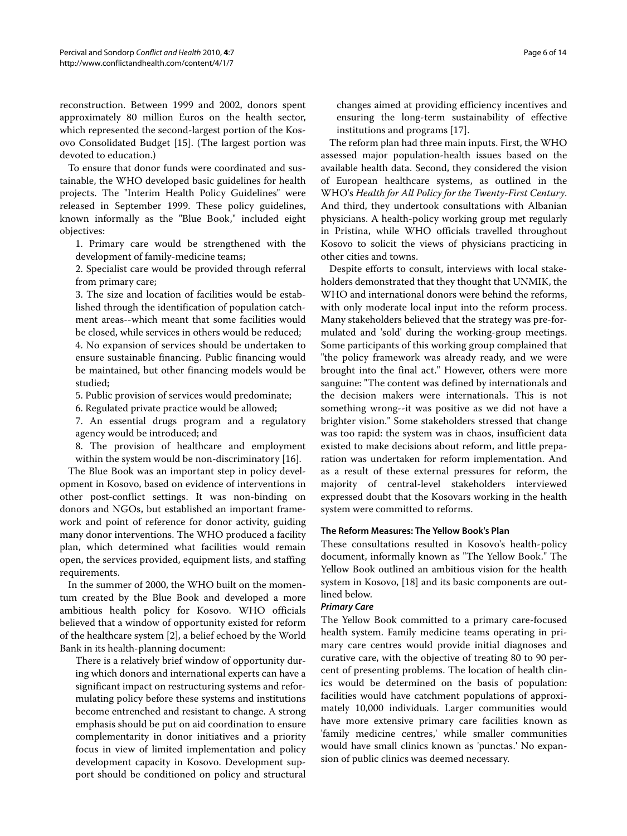reconstruction. Between 1999 and 2002, donors spent approximately 80 million Euros on the health sector, which represented the second-largest portion of the Kosovo Consolidated Budget [\[15](#page-12-14)]. (The largest portion was devoted to education.)

To ensure that donor funds were coordinated and sustainable, the WHO developed basic guidelines for health projects. The "Interim Health Policy Guidelines" were released in September 1999. These policy guidelines, known informally as the "Blue Book," included eight objectives:

1. Primary care would be strengthened with the development of family-medicine teams;

2. Specialist care would be provided through referral from primary care;

3. The size and location of facilities would be established through the identification of population catchment areas--which meant that some facilities would be closed, while services in others would be reduced; 4. No expansion of services should be undertaken to

ensure sustainable financing. Public financing would be maintained, but other financing models would be studied;

5. Public provision of services would predominate;

6. Regulated private practice would be allowed;

7. An essential drugs program and a regulatory agency would be introduced; and

8. The provision of healthcare and employment within the system would be non-discriminatory [\[16\]](#page-12-15).

The Blue Book was an important step in policy development in Kosovo, based on evidence of interventions in other post-conflict settings. It was non-binding on donors and NGOs, but established an important framework and point of reference for donor activity, guiding many donor interventions. The WHO produced a facility plan, which determined what facilities would remain open, the services provided, equipment lists, and staffing requirements.

In the summer of 2000, the WHO built on the momentum created by the Blue Book and developed a more ambitious health policy for Kosovo. WHO officials believed that a window of opportunity existed for reform of the healthcare system [\[2](#page-12-1)], a belief echoed by the World Bank in its health-planning document:

There is a relatively brief window of opportunity during which donors and international experts can have a significant impact on restructuring systems and reformulating policy before these systems and institutions become entrenched and resistant to change. A strong emphasis should be put on aid coordination to ensure complementarity in donor initiatives and a priority focus in view of limited implementation and policy development capacity in Kosovo. Development support should be conditioned on policy and structural changes aimed at providing efficiency incentives and ensuring the long-term sustainability of effective institutions and programs [[17\]](#page-12-16).

The reform plan had three main inputs. First, the WHO assessed major population-health issues based on the available health data. Second, they considered the vision of European healthcare systems, as outlined in the WHO's *Health for All Policy for the Twenty-First Century*. And third, they undertook consultations with Albanian physicians. A health-policy working group met regularly in Pristina, while WHO officials travelled throughout Kosovo to solicit the views of physicians practicing in other cities and towns.

Despite efforts to consult, interviews with local stakeholders demonstrated that they thought that UNMIK, the WHO and international donors were behind the reforms, with only moderate local input into the reform process. Many stakeholders believed that the strategy was pre-formulated and 'sold' during the working-group meetings. Some participants of this working group complained that "the policy framework was already ready, and we were brought into the final act." However, others were more sanguine: "The content was defined by internationals and the decision makers were internationals. This is not something wrong--it was positive as we did not have a brighter vision." Some stakeholders stressed that change was too rapid: the system was in chaos, insufficient data existed to make decisions about reform, and little preparation was undertaken for reform implementation. And as a result of these external pressures for reform, the majority of central-level stakeholders interviewed expressed doubt that the Kosovars working in the health system were committed to reforms.

#### **The Reform Measures: The Yellow Book's Plan**

These consultations resulted in Kosovo's health-policy document, informally known as "The Yellow Book." The Yellow Book outlined an ambitious vision for the health system in Kosovo, [\[18](#page-12-17)] and its basic components are outlined below.

#### **Primary Care**

The Yellow Book committed to a primary care-focused health system. Family medicine teams operating in primary care centres would provide initial diagnoses and curative care, with the objective of treating 80 to 90 percent of presenting problems. The location of health clinics would be determined on the basis of population: facilities would have catchment populations of approximately 10,000 individuals. Larger communities would have more extensive primary care facilities known as 'family medicine centres,' while smaller communities would have small clinics known as 'punctas.' No expansion of public clinics was deemed necessary.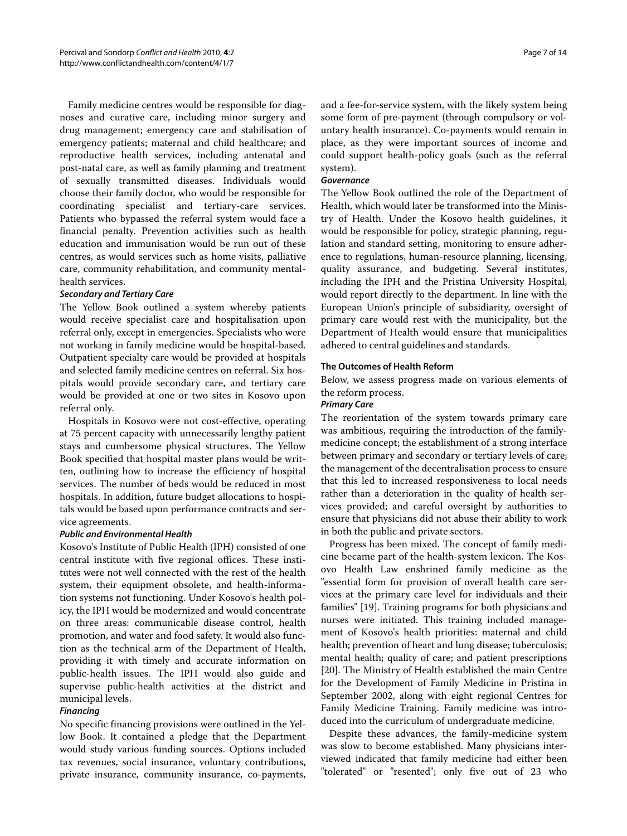Family medicine centres would be responsible for diagnoses and curative care, including minor surgery and drug management; emergency care and stabilisation of emergency patients; maternal and child healthcare; and reproductive health services, including antenatal and post-natal care, as well as family planning and treatment of sexually transmitted diseases. Individuals would choose their family doctor, who would be responsible for coordinating specialist and tertiary-care services. Patients who bypassed the referral system would face a financial penalty. Prevention activities such as health education and immunisation would be run out of these centres, as would services such as home visits, palliative care, community rehabilitation, and community mentalhealth services.

## **Secondary and Tertiary Care**

The Yellow Book outlined a system whereby patients would receive specialist care and hospitalisation upon referral only, except in emergencies. Specialists who were not working in family medicine would be hospital-based. Outpatient specialty care would be provided at hospitals and selected family medicine centres on referral. Six hospitals would provide secondary care, and tertiary care would be provided at one or two sites in Kosovo upon referral only.

Hospitals in Kosovo were not cost-effective, operating at 75 percent capacity with unnecessarily lengthy patient stays and cumbersome physical structures. The Yellow Book specified that hospital master plans would be written, outlining how to increase the efficiency of hospital services. The number of beds would be reduced in most hospitals. In addition, future budget allocations to hospitals would be based upon performance contracts and service agreements.

#### **Public and Environmental Health**

Kosovo's Institute of Public Health (IPH) consisted of one central institute with five regional offices. These institutes were not well connected with the rest of the health system, their equipment obsolete, and health-information systems not functioning. Under Kosovo's health policy, the IPH would be modernized and would concentrate on three areas: communicable disease control, health promotion, and water and food safety. It would also function as the technical arm of the Department of Health, providing it with timely and accurate information on public-health issues. The IPH would also guide and supervise public-health activities at the district and municipal levels.

# **Financing**

No specific financing provisions were outlined in the Yellow Book. It contained a pledge that the Department would study various funding sources. Options included tax revenues, social insurance, voluntary contributions, private insurance, community insurance, co-payments,

and a fee-for-service system, with the likely system being some form of pre-payment (through compulsory or voluntary health insurance). Co-payments would remain in place, as they were important sources of income and could support health-policy goals (such as the referral system).

# **Governance**

The Yellow Book outlined the role of the Department of Health, which would later be transformed into the Ministry of Health. Under the Kosovo health guidelines, it would be responsible for policy, strategic planning, regulation and standard setting, monitoring to ensure adherence to regulations, human-resource planning, licensing, quality assurance, and budgeting. Several institutes, including the IPH and the Pristina University Hospital, would report directly to the department. In line with the European Union's principle of subsidiarity, oversight of primary care would rest with the municipality, but the Department of Health would ensure that municipalities adhered to central guidelines and standards.

# **The Outcomes of Health Reform**

Below, we assess progress made on various elements of the reform process.

# **Primary Care**

The reorientation of the system towards primary care was ambitious, requiring the introduction of the familymedicine concept; the establishment of a strong interface between primary and secondary or tertiary levels of care; the management of the decentralisation process to ensure that this led to increased responsiveness to local needs rather than a deterioration in the quality of health services provided; and careful oversight by authorities to ensure that physicians did not abuse their ability to work in both the public and private sectors.

Progress has been mixed. The concept of family medicine became part of the health-system lexicon. The Kosovo Health Law enshrined family medicine as the "essential form for provision of overall health care services at the primary care level for individuals and their families" [\[19](#page-13-0)]. Training programs for both physicians and nurses were initiated. This training included management of Kosovo's health priorities: maternal and child health; prevention of heart and lung disease; tuberculosis; mental health; quality of care; and patient prescriptions [[20\]](#page-13-1). The Ministry of Health established the main Centre for the Development of Family Medicine in Pristina in September 2002, along with eight regional Centres for Family Medicine Training. Family medicine was introduced into the curriculum of undergraduate medicine.

Despite these advances, the family-medicine system was slow to become established. Many physicians interviewed indicated that family medicine had either been "tolerated" or "resented"; only five out of 23 who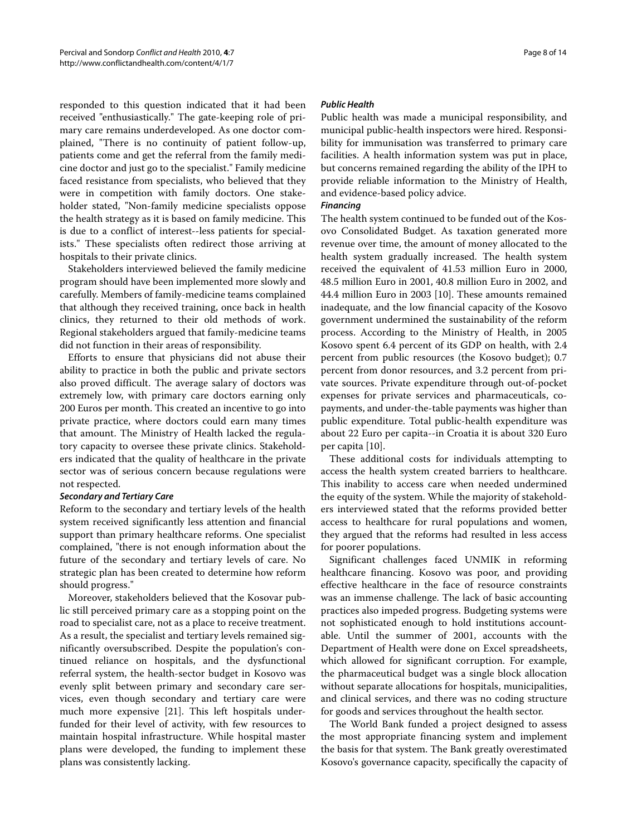responded to this question indicated that it had been received "enthusiastically." The gate-keeping role of primary care remains underdeveloped. As one doctor complained, "There is no continuity of patient follow-up, patients come and get the referral from the family medicine doctor and just go to the specialist." Family medicine faced resistance from specialists, who believed that they were in competition with family doctors. One stakeholder stated, "Non-family medicine specialists oppose the health strategy as it is based on family medicine. This is due to a conflict of interest--less patients for specialists." These specialists often redirect those arriving at hospitals to their private clinics.

Stakeholders interviewed believed the family medicine program should have been implemented more slowly and carefully. Members of family-medicine teams complained that although they received training, once back in health clinics, they returned to their old methods of work. Regional stakeholders argued that family-medicine teams did not function in their areas of responsibility.

Efforts to ensure that physicians did not abuse their ability to practice in both the public and private sectors also proved difficult. The average salary of doctors was extremely low, with primary care doctors earning only 200 Euros per month. This created an incentive to go into private practice, where doctors could earn many times that amount. The Ministry of Health lacked the regulatory capacity to oversee these private clinics. Stakeholders indicated that the quality of healthcare in the private sector was of serious concern because regulations were not respected.

# **Secondary and Tertiary Care**

Reform to the secondary and tertiary levels of the health system received significantly less attention and financial support than primary healthcare reforms. One specialist complained, "there is not enough information about the future of the secondary and tertiary levels of care. No strategic plan has been created to determine how reform should progress."

Moreover, stakeholders believed that the Kosovar public still perceived primary care as a stopping point on the road to specialist care, not as a place to receive treatment. As a result, the specialist and tertiary levels remained significantly oversubscribed. Despite the population's continued reliance on hospitals, and the dysfunctional referral system, the health-sector budget in Kosovo was evenly split between primary and secondary care services, even though secondary and tertiary care were much more expensive [\[21](#page-13-2)]. This left hospitals underfunded for their level of activity, with few resources to maintain hospital infrastructure. While hospital master plans were developed, the funding to implement these plans was consistently lacking.

# **Public Health**

Public health was made a municipal responsibility, and municipal public-health inspectors were hired. Responsibility for immunisation was transferred to primary care facilities. A health information system was put in place, but concerns remained regarding the ability of the IPH to provide reliable information to the Ministry of Health, and evidence-based policy advice.

# **Financing**

The health system continued to be funded out of the Kosovo Consolidated Budget. As taxation generated more revenue over time, the amount of money allocated to the health system gradually increased. The health system received the equivalent of 41.53 million Euro in 2000, 48.5 million Euro in 2001, 40.8 million Euro in 2002, and 44.4 million Euro in 2003 [[10](#page-12-9)]. These amounts remained inadequate, and the low financial capacity of the Kosovo government undermined the sustainability of the reform process. According to the Ministry of Health, in 2005 Kosovo spent 6.4 percent of its GDP on health, with 2.4 percent from public resources (the Kosovo budget); 0.7 percent from donor resources, and 3.2 percent from private sources. Private expenditure through out-of-pocket expenses for private services and pharmaceuticals, copayments, and under-the-table payments was higher than public expenditure. Total public-health expenditure was about 22 Euro per capita--in Croatia it is about 320 Euro per capita [[10](#page-12-9)].

These additional costs for individuals attempting to access the health system created barriers to healthcare. This inability to access care when needed undermined the equity of the system. While the majority of stakeholders interviewed stated that the reforms provided better access to healthcare for rural populations and women, they argued that the reforms had resulted in less access for poorer populations.

Significant challenges faced UNMIK in reforming healthcare financing. Kosovo was poor, and providing effective healthcare in the face of resource constraints was an immense challenge. The lack of basic accounting practices also impeded progress. Budgeting systems were not sophisticated enough to hold institutions accountable. Until the summer of 2001, accounts with the Department of Health were done on Excel spreadsheets, which allowed for significant corruption. For example, the pharmaceutical budget was a single block allocation without separate allocations for hospitals, municipalities, and clinical services, and there was no coding structure for goods and services throughout the health sector.

The World Bank funded a project designed to assess the most appropriate financing system and implement the basis for that system. The Bank greatly overestimated Kosovo's governance capacity, specifically the capacity of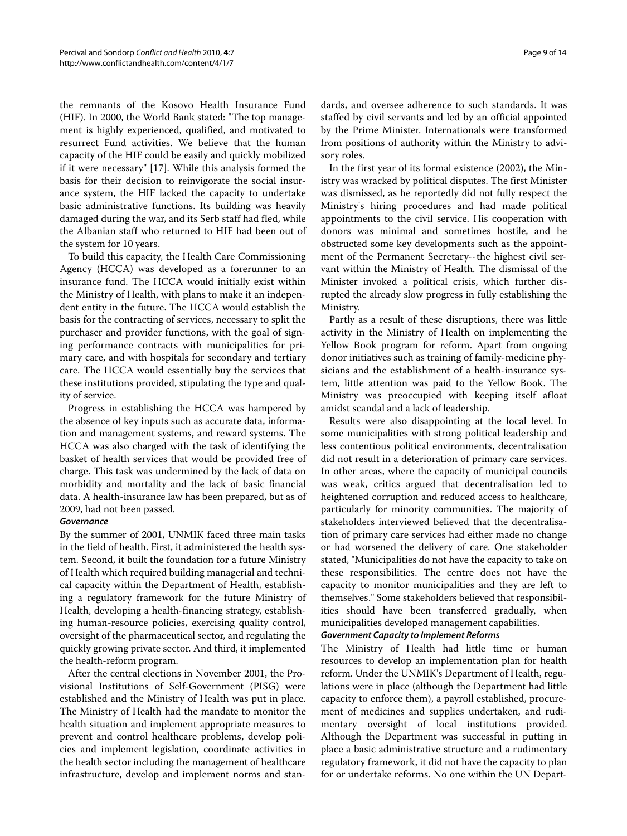the remnants of the Kosovo Health Insurance Fund (HIF). In 2000, the World Bank stated: "The top management is highly experienced, qualified, and motivated to resurrect Fund activities. We believe that the human capacity of the HIF could be easily and quickly mobilized if it were necessary" [[17](#page-12-16)]. While this analysis formed the basis for their decision to reinvigorate the social insurance system, the HIF lacked the capacity to undertake basic administrative functions. Its building was heavily damaged during the war, and its Serb staff had fled, while the Albanian staff who returned to HIF had been out of the system for 10 years.

To build this capacity, the Health Care Commissioning Agency (HCCA) was developed as a forerunner to an insurance fund. The HCCA would initially exist within the Ministry of Health, with plans to make it an independent entity in the future. The HCCA would establish the basis for the contracting of services, necessary to split the purchaser and provider functions, with the goal of signing performance contracts with municipalities for primary care, and with hospitals for secondary and tertiary care. The HCCA would essentially buy the services that these institutions provided, stipulating the type and quality of service.

Progress in establishing the HCCA was hampered by the absence of key inputs such as accurate data, information and management systems, and reward systems. The HCCA was also charged with the task of identifying the basket of health services that would be provided free of charge. This task was undermined by the lack of data on morbidity and mortality and the lack of basic financial data. A health-insurance law has been prepared, but as of 2009, had not been passed.

#### **Governance**

By the summer of 2001, UNMIK faced three main tasks in the field of health. First, it administered the health system. Second, it built the foundation for a future Ministry of Health which required building managerial and technical capacity within the Department of Health, establishing a regulatory framework for the future Ministry of Health, developing a health-financing strategy, establishing human-resource policies, exercising quality control, oversight of the pharmaceutical sector, and regulating the quickly growing private sector. And third, it implemented the health-reform program.

After the central elections in November 2001, the Provisional Institutions of Self-Government (PISG) were established and the Ministry of Health was put in place. The Ministry of Health had the mandate to monitor the health situation and implement appropriate measures to prevent and control healthcare problems, develop policies and implement legislation, coordinate activities in the health sector including the management of healthcare infrastructure, develop and implement norms and stan-

dards, and oversee adherence to such standards. It was staffed by civil servants and led by an official appointed by the Prime Minister. Internationals were transformed from positions of authority within the Ministry to advisory roles.

In the first year of its formal existence (2002), the Ministry was wracked by political disputes. The first Minister was dismissed, as he reportedly did not fully respect the Ministry's hiring procedures and had made political appointments to the civil service. His cooperation with donors was minimal and sometimes hostile, and he obstructed some key developments such as the appointment of the Permanent Secretary--the highest civil servant within the Ministry of Health. The dismissal of the Minister invoked a political crisis, which further disrupted the already slow progress in fully establishing the Ministry.

Partly as a result of these disruptions, there was little activity in the Ministry of Health on implementing the Yellow Book program for reform. Apart from ongoing donor initiatives such as training of family-medicine physicians and the establishment of a health-insurance system, little attention was paid to the Yellow Book. The Ministry was preoccupied with keeping itself afloat amidst scandal and a lack of leadership.

Results were also disappointing at the local level. In some municipalities with strong political leadership and less contentious political environments, decentralisation did not result in a deterioration of primary care services. In other areas, where the capacity of municipal councils was weak, critics argued that decentralisation led to heightened corruption and reduced access to healthcare, particularly for minority communities. The majority of stakeholders interviewed believed that the decentralisation of primary care services had either made no change or had worsened the delivery of care. One stakeholder stated, "Municipalities do not have the capacity to take on these responsibilities. The centre does not have the capacity to monitor municipalities and they are left to themselves." Some stakeholders believed that responsibilities should have been transferred gradually, when municipalities developed management capabilities.

# **Government Capacity to Implement Reforms**

The Ministry of Health had little time or human resources to develop an implementation plan for health reform. Under the UNMIK's Department of Health, regulations were in place (although the Department had little capacity to enforce them), a payroll established, procurement of medicines and supplies undertaken, and rudimentary oversight of local institutions provided. Although the Department was successful in putting in place a basic administrative structure and a rudimentary regulatory framework, it did not have the capacity to plan for or undertake reforms. No one within the UN Depart-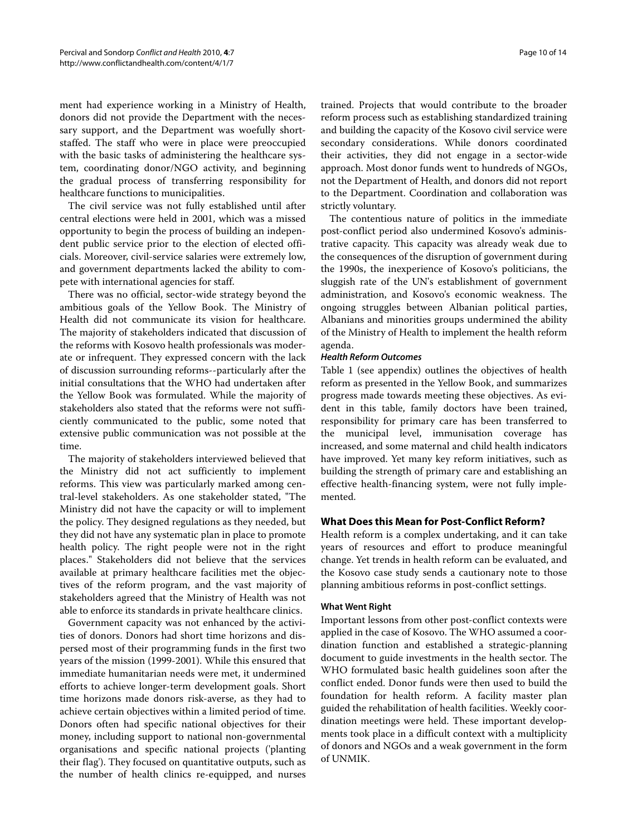ment had experience working in a Ministry of Health, donors did not provide the Department with the necessary support, and the Department was woefully shortstaffed. The staff who were in place were preoccupied with the basic tasks of administering the healthcare system, coordinating donor/NGO activity, and beginning the gradual process of transferring responsibility for healthcare functions to municipalities.

The civil service was not fully established until after central elections were held in 2001, which was a missed opportunity to begin the process of building an independent public service prior to the election of elected officials. Moreover, civil-service salaries were extremely low, and government departments lacked the ability to compete with international agencies for staff.

There was no official, sector-wide strategy beyond the ambitious goals of the Yellow Book. The Ministry of Health did not communicate its vision for healthcare. The majority of stakeholders indicated that discussion of the reforms with Kosovo health professionals was moderate or infrequent. They expressed concern with the lack of discussion surrounding reforms--particularly after the initial consultations that the WHO had undertaken after the Yellow Book was formulated. While the majority of stakeholders also stated that the reforms were not sufficiently communicated to the public, some noted that extensive public communication was not possible at the time.

The majority of stakeholders interviewed believed that the Ministry did not act sufficiently to implement reforms. This view was particularly marked among central-level stakeholders. As one stakeholder stated, "The Ministry did not have the capacity or will to implement the policy. They designed regulations as they needed, but they did not have any systematic plan in place to promote health policy. The right people were not in the right places." Stakeholders did not believe that the services available at primary healthcare facilities met the objectives of the reform program, and the vast majority of stakeholders agreed that the Ministry of Health was not able to enforce its standards in private healthcare clinics.

Government capacity was not enhanced by the activities of donors. Donors had short time horizons and dispersed most of their programming funds in the first two years of the mission (1999-2001). While this ensured that immediate humanitarian needs were met, it undermined efforts to achieve longer-term development goals. Short time horizons made donors risk-averse, as they had to achieve certain objectives within a limited period of time. Donors often had specific national objectives for their money, including support to national non-governmental organisations and specific national projects ('planting their flag'). They focused on quantitative outputs, such as the number of health clinics re-equipped, and nurses

trained. Projects that would contribute to the broader reform process such as establishing standardized training and building the capacity of the Kosovo civil service were secondary considerations. While donors coordinated their activities, they did not engage in a sector-wide approach. Most donor funds went to hundreds of NGOs, not the Department of Health, and donors did not report to the Department. Coordination and collaboration was strictly voluntary.

The contentious nature of politics in the immediate post-conflict period also undermined Kosovo's administrative capacity. This capacity was already weak due to the consequences of the disruption of government during the 1990s, the inexperience of Kosovo's politicians, the sluggish rate of the UN's establishment of government administration, and Kosovo's economic weakness. The ongoing struggles between Albanian political parties, Albanians and minorities groups undermined the ability of the Ministry of Health to implement the health reform agenda.

#### **Health Reform Outcomes**

Table 1 (see appendix) outlines the objectives of health reform as presented in the Yellow Book, and summarizes progress made towards meeting these objectives. As evident in this table, family doctors have been trained, responsibility for primary care has been transferred to the municipal level, immunisation coverage has increased, and some maternal and child health indicators have improved. Yet many key reform initiatives, such as building the strength of primary care and establishing an effective health-financing system, were not fully implemented.

# **What Does this Mean for Post-Conflict Reform?**

Health reform is a complex undertaking, and it can take years of resources and effort to produce meaningful change. Yet trends in health reform can be evaluated, and the Kosovo case study sends a cautionary note to those planning ambitious reforms in post-conflict settings.

#### **What Went Right**

Important lessons from other post-conflict contexts were applied in the case of Kosovo. The WHO assumed a coordination function and established a strategic-planning document to guide investments in the health sector. The WHO formulated basic health guidelines soon after the conflict ended. Donor funds were then used to build the foundation for health reform. A facility master plan guided the rehabilitation of health facilities. Weekly coordination meetings were held. These important developments took place in a difficult context with a multiplicity of donors and NGOs and a weak government in the form of UNMIK.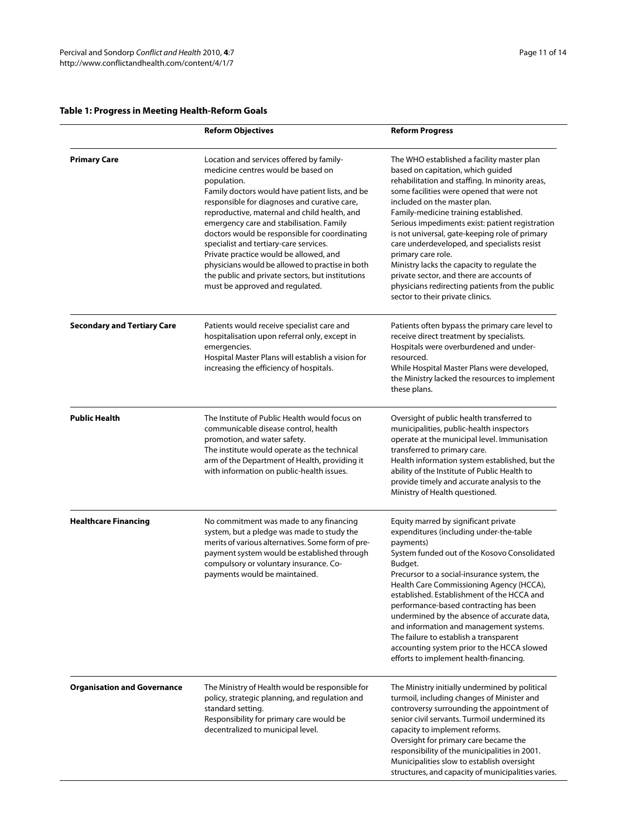# **Table 1: Progress in Meeting Health-Reform Goals**

|                                    | <b>Reform Objectives</b>                                                                                                                                                                                                                                                                                                                                                                                                                                                                                                                                                    | <b>Reform Progress</b>                                                                                                                                                                                                                                                                                                                                                                                                                                                                                                                                                                                                |
|------------------------------------|-----------------------------------------------------------------------------------------------------------------------------------------------------------------------------------------------------------------------------------------------------------------------------------------------------------------------------------------------------------------------------------------------------------------------------------------------------------------------------------------------------------------------------------------------------------------------------|-----------------------------------------------------------------------------------------------------------------------------------------------------------------------------------------------------------------------------------------------------------------------------------------------------------------------------------------------------------------------------------------------------------------------------------------------------------------------------------------------------------------------------------------------------------------------------------------------------------------------|
| <b>Primary Care</b>                | Location and services offered by family-<br>medicine centres would be based on<br>population.<br>Family doctors would have patient lists, and be<br>responsible for diagnoses and curative care,<br>reproductive, maternal and child health, and<br>emergency care and stabilisation. Family<br>doctors would be responsible for coordinating<br>specialist and tertiary-care services.<br>Private practice would be allowed, and<br>physicians would be allowed to practise in both<br>the public and private sectors, but institutions<br>must be approved and regulated. | The WHO established a facility master plan<br>based on capitation, which quided<br>rehabilitation and staffing. In minority areas,<br>some facilities were opened that were not<br>included on the master plan.<br>Family-medicine training established.<br>Serious impediments exist: patient registration<br>is not universal, gate-keeping role of primary<br>care underdeveloped, and specialists resist<br>primary care role.<br>Ministry lacks the capacity to regulate the<br>private sector, and there are accounts of<br>physicians redirecting patients from the public<br>sector to their private clinics. |
| <b>Secondary and Tertiary Care</b> | Patients would receive specialist care and<br>hospitalisation upon referral only, except in<br>emergencies.<br>Hospital Master Plans will establish a vision for<br>increasing the efficiency of hospitals.                                                                                                                                                                                                                                                                                                                                                                 | Patients often bypass the primary care level to<br>receive direct treatment by specialists.<br>Hospitals were overburdened and under-<br>resourced.<br>While Hospital Master Plans were developed,<br>the Ministry lacked the resources to implement<br>these plans.                                                                                                                                                                                                                                                                                                                                                  |
| Public Health                      | The Institute of Public Health would focus on<br>communicable disease control, health<br>promotion, and water safety.<br>The institute would operate as the technical<br>arm of the Department of Health, providing it<br>with information on public-health issues.                                                                                                                                                                                                                                                                                                         | Oversight of public health transferred to<br>municipalities, public-health inspectors<br>operate at the municipal level. Immunisation<br>transferred to primary care.<br>Health information system established, but the<br>ability of the Institute of Public Health to<br>provide timely and accurate analysis to the<br>Ministry of Health questioned.                                                                                                                                                                                                                                                              |
| <b>Healthcare Financing</b>        | No commitment was made to any financing<br>system, but a pledge was made to study the<br>merits of various alternatives. Some form of pre-<br>payment system would be established through<br>compulsory or voluntary insurance. Co-<br>payments would be maintained.                                                                                                                                                                                                                                                                                                        | Equity marred by significant private<br>expenditures (including under-the-table<br>payments)<br>System funded out of the Kosovo Consolidated<br>Budget.<br>Precursor to a social-insurance system, the<br>Health Care Commissioning Agency (HCCA),<br>established. Establishment of the HCCA and<br>performance-based contracting has been<br>undermined by the absence of accurate data,<br>and information and management systems.<br>The failure to establish a transparent<br>accounting system prior to the HCCA slowed<br>efforts to implement health-financing.                                                |

**Organisation and Governance** The Ministry of Health would be responsible

policy, strategic planning, and regulation an standard setting. Responsibility for primary care would be decentralized to municipal level.

Page 11 of 14

| for | The Ministry initially undermined by political     |
|-----|----------------------------------------------------|
| ıd  | turmoil, including changes of Minister and         |
|     | controversy surrounding the appointment of         |
|     | senior civil servants. Turmoil undermined its      |
|     | capacity to implement reforms.                     |
|     | Oversight for primary care became the              |
|     | responsibility of the municipalities in 2001.      |
|     | Municipalities slow to establish oversight         |
|     | structures, and capacity of municipalities varies. |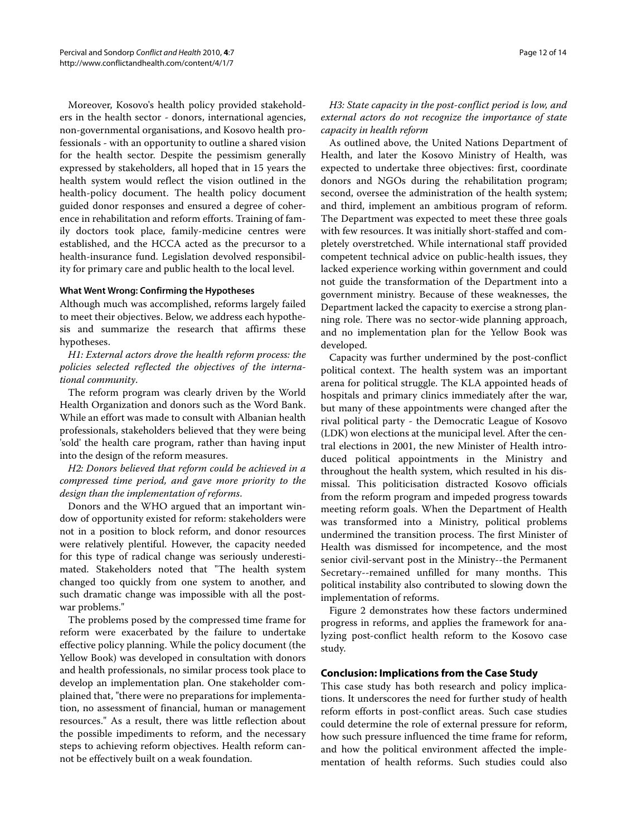Moreover, Kosovo's health policy provided stakeholders in the health sector - donors, international agencies, non-governmental organisations, and Kosovo health professionals - with an opportunity to outline a shared vision for the health sector. Despite the pessimism generally expressed by stakeholders, all hoped that in 15 years the health system would reflect the vision outlined in the health-policy document. The health policy document guided donor responses and ensured a degree of coherence in rehabilitation and reform efforts. Training of family doctors took place, family-medicine centres were established, and the HCCA acted as the precursor to a health-insurance fund. Legislation devolved responsibility for primary care and public health to the local level.

#### **What Went Wrong: Confirming the Hypotheses**

Although much was accomplished, reforms largely failed to meet their objectives. Below, we address each hypothesis and summarize the research that affirms these hypotheses.

*H1: External actors drove the health reform process: the policies selected reflected the objectives of the international community*.

The reform program was clearly driven by the World Health Organization and donors such as the Word Bank. While an effort was made to consult with Albanian health professionals, stakeholders believed that they were being 'sold' the health care program, rather than having input into the design of the reform measures.

*H2: Donors believed that reform could be achieved in a compressed time period, and gave more priority to the design than the implementation of reforms*.

Donors and the WHO argued that an important window of opportunity existed for reform: stakeholders were not in a position to block reform, and donor resources were relatively plentiful. However, the capacity needed for this type of radical change was seriously underestimated. Stakeholders noted that "The health system changed too quickly from one system to another, and such dramatic change was impossible with all the postwar problems."

The problems posed by the compressed time frame for reform were exacerbated by the failure to undertake effective policy planning. While the policy document (the Yellow Book) was developed in consultation with donors and health professionals, no similar process took place to develop an implementation plan. One stakeholder complained that, "there were no preparations for implementation, no assessment of financial, human or management resources." As a result, there was little reflection about the possible impediments to reform, and the necessary steps to achieving reform objectives. Health reform cannot be effectively built on a weak foundation.

*H3: State capacity in the post-conflict period is low, and external actors do not recognize the importance of state capacity in health reform*

As outlined above, the United Nations Department of Health, and later the Kosovo Ministry of Health, was expected to undertake three objectives: first, coordinate donors and NGOs during the rehabilitation program; second, oversee the administration of the health system; and third, implement an ambitious program of reform. The Department was expected to meet these three goals with few resources. It was initially short-staffed and completely overstretched. While international staff provided competent technical advice on public-health issues, they lacked experience working within government and could not guide the transformation of the Department into a government ministry. Because of these weaknesses, the Department lacked the capacity to exercise a strong planning role. There was no sector-wide planning approach, and no implementation plan for the Yellow Book was developed.

Capacity was further undermined by the post-conflict political context. The health system was an important arena for political struggle. The KLA appointed heads of hospitals and primary clinics immediately after the war, but many of these appointments were changed after the rival political party - the Democratic League of Kosovo (LDK) won elections at the municipal level. After the central elections in 2001, the new Minister of Health introduced political appointments in the Ministry and throughout the health system, which resulted in his dismissal. This politicisation distracted Kosovo officials from the reform program and impeded progress towards meeting reform goals. When the Department of Health was transformed into a Ministry, political problems undermined the transition process. The first Minister of Health was dismissed for incompetence, and the most senior civil-servant post in the Ministry--the Permanent Secretary--remained unfilled for many months. This political instability also contributed to slowing down the implementation of reforms.

Figure [2](#page-12-18) demonstrates how these factors undermined progress in reforms, and applies the framework for analyzing post-conflict health reform to the Kosovo case study.

#### **Conclusion: Implications from the Case Study**

This case study has both research and policy implications. It underscores the need for further study of health reform efforts in post-conflict areas. Such case studies could determine the role of external pressure for reform, how such pressure influenced the time frame for reform, and how the political environment affected the implementation of health reforms. Such studies could also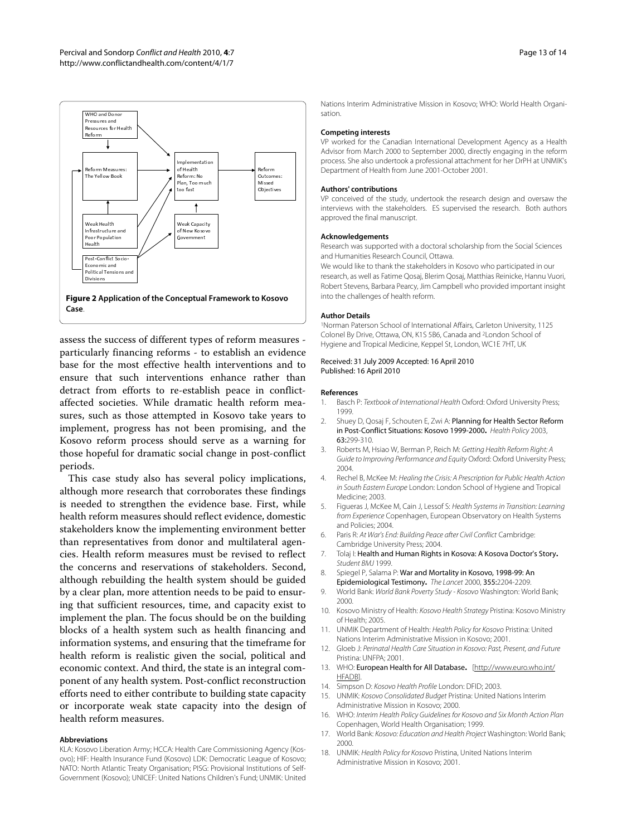<span id="page-12-18"></span>

assess the success of different types of reform measures particularly financing reforms - to establish an evidence base for the most effective health interventions and to ensure that such interventions enhance rather than detract from efforts to re-establish peace in conflictaffected societies. While dramatic health reform measures, such as those attempted in Kosovo take years to implement, progress has not been promising, and the Kosovo reform process should serve as a warning for those hopeful for dramatic social change in post-conflict periods.

This case study also has several policy implications, although more research that corroborates these findings is needed to strengthen the evidence base. First, while health reform measures should reflect evidence, domestic stakeholders know the implementing environment better than representatives from donor and multilateral agencies. Health reform measures must be revised to reflect the concerns and reservations of stakeholders. Second, although rebuilding the health system should be guided by a clear plan, more attention needs to be paid to ensuring that sufficient resources, time, and capacity exist to implement the plan. The focus should be on the building blocks of a health system such as health financing and information systems, and ensuring that the timeframe for health reform is realistic given the social, political and economic context. And third, the state is an integral component of any health system. Post-conflict reconstruction efforts need to either contribute to building state capacity or incorporate weak state capacity into the design of health reform measures.

#### **Abbreviations**

KLA: Kosovo Liberation Army; HCCA: Health Care Commissioning Agency (Kosovo); HIF: Health Insurance Fund (Kosovo) LDK: Democratic League of Kosovo; NATO: North Atlantic Treaty Organisation; PISG: Provisional Institutions of Self-Government (Kosovo); UNICEF: United Nations Children's Fund; UNMIK: United Nations Interim Administrative Mission in Kosovo; WHO: World Health Organisation.

#### **Competing interests**

VP worked for the Canadian International Development Agency as a Health Advisor from March 2000 to September 2000, directly engaging in the reform process. She also undertook a professional attachment for her DrPH at UNMIK's Department of Health from June 2001-October 2001.

#### **Authors' contributions**

VP conceived of the study, undertook the research design and oversaw the interviews with the stakeholders. ES supervised the research. Both authors approved the final manuscript.

#### **Acknowledgements**

Research was supported with a doctoral scholarship from the Social Sciences and Humanities Research Council, Ottawa.

We would like to thank the stakeholders in Kosovo who participated in our research, as well as Fatime Qosaj, Blerim Qosaj, Matthias Reinicke, Hannu Vuori, Robert Stevens, Barbara Pearcy, Jim Campbell who provided important insight into the challenges of health reform.

#### **Author Details**

1Norman Paterson School of International Affairs, Carleton University, 1125 Colonel By Drive, Ottawa, ON, K1S 5B6, Canada and 2London School of Hygiene and Tropical Medicine, Keppel St, London, WC1E 7HT, UK

#### Received: 31 July 2009 Accepted: 16 April 2010 Published: 16 April 2010

#### **References**

- <span id="page-12-0"></span>1. Basch P: Textbook of International Health Oxford: Oxford University Press; 1999.
- <span id="page-12-1"></span>2. Shuey D, Qosaj F, Schouten E, Zwi A: Planning for Health Sector Reform in Post-Conflict Situations: Kosovo 1999-2000**[.](http://www.ncbi.nlm.nih.gov/entrez/query.fcgi?cmd=Retrieve&db=PubMed&dopt=Abstract&list_uids=12595129)** Health Policy 2003, 63:299-310.
- <span id="page-12-2"></span>3. Roberts M, Hsiao W, Berman P, Reich M: Getting Health Reform Right: A Guide to Improving Performance and Equity Oxford: Oxford University Press; 2004.
- <span id="page-12-3"></span>4. Rechel B, McKee M: Healing the Crisis: A Prescription for Public Health Action in South Eastern Europe London: London School of Hygiene and Tropical Medicine; 2003.
- <span id="page-12-4"></span>5. Figueras J, McKee M, Cain J, Lessof S: Health Systems in Transition: Learning from Experience Copenhagen, European Observatory on Health Systems and Policies; 2004.
- <span id="page-12-5"></span>6. Paris R: At War's End: Building Peace after Civil Conflict Cambridge: Cambridge University Press; 2004.
- <span id="page-12-6"></span>7. Tolaj I: Health and Human Rights in Kosova: A Kosova Doctor's Story**.** Student BMJ 1999.
- <span id="page-12-7"></span>8. Spiegel P, Salama P: War and Mortality in Kosovo, 1998-99: An Epidemiological Testimony**.** The Lancet 2000, 355:2204-2209.
- <span id="page-12-8"></span>9. World Bank: World Bank Poverty Study - Kosovo Washington: World Bank; 2000.
- <span id="page-12-9"></span>10. Kosovo Ministry of Health: Kosovo Health Strategy Pristina: Kosovo Ministry of Health; 2005.
- <span id="page-12-10"></span>11. UNMIK Department of Health: Health Policy for Kosovo Pristina: United Nations Interim Administrative Mission in Kosovo; 2001.
- <span id="page-12-11"></span>12. Gloeb J: Perinatal Health Care Situation in Kosovo: Past, Present, and Future Pristina: UNFPA; 2001.
- <span id="page-12-12"></span>13. WHO: European Health for All Database**.** [\[http://www.euro.who.int/](http://www.euro.who.int/HFADB) [HFADB](http://www.euro.who.int/HFADB)].
- <span id="page-12-13"></span>14. Simpson D: Kosovo Health Profile London: DFID; 2003.
- <span id="page-12-14"></span>15. UNMIK: Kosovo Consolidated Budget Pristina: United Nations Interim Administrative Mission in Kosovo; 2000.
- <span id="page-12-15"></span>16. WHO: Interim Health Policy Guidelines for Kosovo and Six Month Action Plan Copenhagen, World Health Organisation; 1999.
- <span id="page-12-16"></span>17. World Bank: Kosovo: Education and Health Project Washington: World Bank; 2000.
- <span id="page-12-17"></span>18. UNMIK: Health Policy for Kosovo Pristina, United Nations Interim Administrative Mission in Kosovo; 2001.